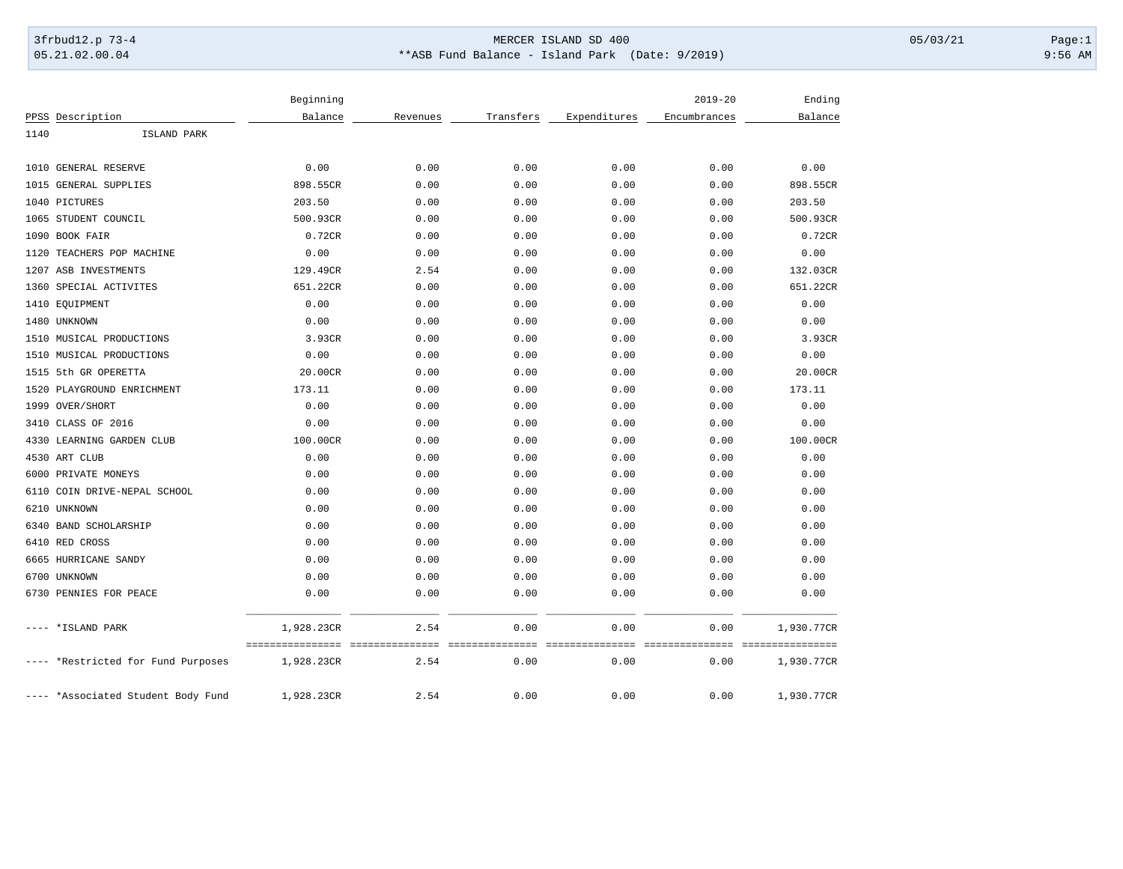## 3frbud12.p 73-4 Page:1 Page:1 05.21.02.00.04 \*\*ASB Fund Balance - Island Park (Date: 9/2019) 9:56 AM

|                                    | Beginning                      |                          |                          |                         | $2019 - 20$                               | Ending     |
|------------------------------------|--------------------------------|--------------------------|--------------------------|-------------------------|-------------------------------------------|------------|
| PPSS Description                   | Balance                        | Revenues                 | Transfers                | Expenditures            | Encumbrances                              | Balance    |
| 1140<br>ISLAND PARK                |                                |                          |                          |                         |                                           |            |
|                                    |                                |                          |                          |                         |                                           |            |
| 1010 GENERAL RESERVE               | 0.00                           | 0.00                     | 0.00                     | 0.00                    | 0.00                                      | 0.00       |
| 1015<br>GENERAL SUPPLIES           | 898.55CR                       | 0.00                     | 0.00                     | 0.00                    | 0.00                                      | 898.55CR   |
| 1040 PICTURES                      | 203.50                         | 0.00                     | 0.00                     | 0.00                    | 0.00                                      | 203.50     |
| 1065<br>STUDENT COUNCIL            | 500.93CR                       | 0.00                     | 0.00                     | 0.00                    | 0.00                                      | 500.93CR   |
| BOOK FAIR<br>1090                  | 0.72CR                         | 0.00                     | 0.00                     | 0.00                    | 0.00                                      | 0.72CR     |
| 1120<br>TEACHERS POP MACHINE       | 0.00                           | 0.00                     | 0.00                     | 0.00                    | 0.00                                      | 0.00       |
| 1207 ASB INVESTMENTS               | 129.49CR                       | 2.54                     | 0.00                     | 0.00                    | 0.00                                      | 132.03CR   |
| SPECIAL ACTIVITES<br>1360          | 651.22CR                       | 0.00                     | 0.00                     | 0.00                    | 0.00                                      | 651.22CR   |
| 1410 EQUIPMENT                     | 0.00                           | 0.00                     | 0.00                     | 0.00                    | 0.00                                      | 0.00       |
| 1480 UNKNOWN                       | 0.00                           | 0.00                     | 0.00                     | 0.00                    | 0.00                                      | 0.00       |
| 1510 MUSICAL PRODUCTIONS           | 3.93CR                         | 0.00                     | 0.00                     | 0.00                    | 0.00                                      | 3.93CR     |
| 1510 MUSICAL PRODUCTIONS           | 0.00                           | 0.00                     | 0.00                     | 0.00                    | 0.00                                      | 0.00       |
| 5th GR OPERETTA<br>1515            | 20.00CR                        | 0.00                     | 0.00                     | 0.00                    | 0.00                                      | 20.00CR    |
| 1520<br>PLAYGROUND ENRICHMENT      | 173.11                         | 0.00                     | 0.00                     | 0.00                    | 0.00                                      | 173.11     |
| OVER/SHORT<br>1999                 | 0.00                           | 0.00                     | 0.00                     | 0.00                    | 0.00                                      | 0.00       |
| 3410<br>CLASS OF 2016              | 0.00                           | 0.00                     | 0.00                     | 0.00                    | 0.00                                      | 0.00       |
| 4330<br>LEARNING GARDEN CLUB       | 100.00CR                       | 0.00                     | 0.00                     | 0.00                    | 0.00                                      | 100.00CR   |
| 4530 ART CLUB                      | 0.00                           | 0.00                     | 0.00                     | 0.00                    | 0.00                                      | 0.00       |
| 6000 PRIVATE MONEYS                | 0.00                           | 0.00                     | 0.00                     | 0.00                    | 0.00                                      | 0.00       |
| 6110<br>COIN DRIVE-NEPAL SCHOOL    | 0.00                           | 0.00                     | 0.00                     | 0.00                    | 0.00                                      | 0.00       |
| 6210<br>UNKNOWN                    | 0.00                           | 0.00                     | 0.00                     | 0.00                    | 0.00                                      | 0.00       |
| 6340 BAND SCHOLARSHIP              | 0.00                           | 0.00                     | 0.00                     | 0.00                    | 0.00                                      | 0.00       |
| 6410 RED CROSS                     | 0.00                           | 0.00                     | 0.00                     | 0.00                    | 0.00                                      | 0.00       |
| 6665 HURRICANE SANDY               | 0.00                           | 0.00                     | 0.00                     | 0.00                    | 0.00                                      | 0.00       |
| 6700<br>UNKNOWN                    | 0.00                           | 0.00                     | 0.00                     | 0.00                    | 0.00                                      | 0.00       |
| 6730 PENNIES FOR PEACE             | 0.00                           | 0.00                     | 0.00                     | 0.00                    | 0.00                                      | 0.00       |
| *ISLAND PARK                       | 1,928.23CR                     | 2.54                     | 0.00                     | 0.00                    | 0.00                                      | 1,930.77CR |
| *Restricted for Fund Purposes      | ----------------<br>1,928.23CR | ----------------<br>2.54 | ----------------<br>0.00 | ===============<br>0.00 | ---------------- ----------------<br>0.00 | 1,930.77CR |
| ---- *Associated Student Body Fund | 1,928.23CR                     | 2.54                     | 0.00                     | 0.00                    | 0.00                                      | 1,930.77CR |